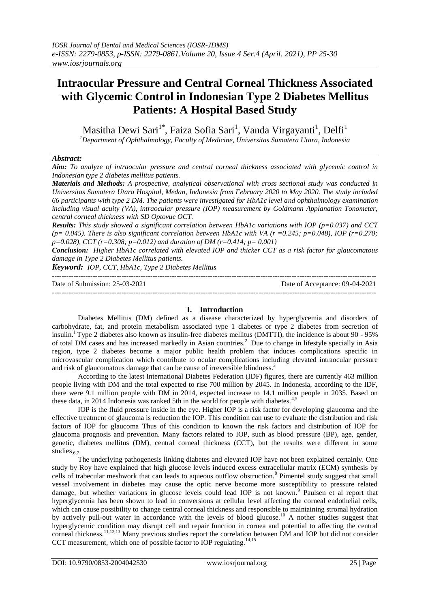# **Intraocular Pressure and Central Corneal Thickness Associated with Glycemic Control in Indonesian Type 2 Diabetes Mellitus Patients: A Hospital Based Study**

Masitha Dewi Sari $^{1^*}$ , Faiza Sofia Sari $^1$ , Vanda Virgayanti $^1$ , Delfi $^1$ *<sup>1</sup>Department of Ophthalmology, Faculty of Medicine, Universitas Sumatera Utara, Indonesia*

## *Abstract:*

*Aim: To analyze of intraocular pressure and central corneal thickness associated with glycemic control in Indonesian type 2 diabetes mellitus patients.* 

*Materials and Methods: A prospective, analytical observational with cross sectional study was conducted in Universitas Sumatera Utara Hospital, Medan, Indonesia from February 2020 to May 2020. The study included 66 participants with type 2 DM. The patients were investigated for HbA1c level and ophthalmology examination including visual acuity (VA), intraocular pressure (IOP) measurement by Goldmann Applanation Tonometer, central corneal thickness with SD Optovue OCT.*

*Results: This study showed a significant correlation between HbA1c variations with IOP (p=0.037) and CCT*  ( $p= 0.045$ ). There is also significant correlation between HbA1c with VA ( $r = 0.245$ ;  $p=0.048$ ), IOP ( $r=0.270$ ; *p=0.028), CCT (r=0.308; p=0.012) and duration of DM (r=0.414; p= 0.001)*

*Conclusion: Higher HbA1c correlated with elevated IOP and thicker CCT as a risk factor for glaucomatous damage in Type 2 Diabetes Mellitus patients.*

*Keyword: IOP, CCT, HbA1c, Type 2 Diabetes Mellitus*

--------------------------------------------------------------------------------------------------------------------------------------- Date of Submission: 25-03-2021 Date of Acceptance: 09-04-2021 ---------------------------------------------------------------------------------------------------------------------------------------

## **I. Introduction**

Diabetes Mellitus (DM) defined as a disease characterized by hyperglycemia and disorders of carbohydrate, fat, and protein metabolism associated type 1 diabetes or type 2 diabetes from secretion of insulin.<sup>1</sup>Type 2 diabetes also known as insulin-free diabetes mellitus (DMTTI), the incidence is about 90 - 95% of total DM cases and has increased markedly in Asian countries.<sup>2</sup> Due to change in lifestyle specially in Asia region, type 2 diabetes become a major public health problem that induces complications specific in microvascular complication which contribute to ocular complications including elevated intraocular pressure and risk of glaucomatous damage that can be cause of irreversible blindness.<sup>3</sup>

According to the latest International Diabetes Federation (IDF) figures, there are currently 463 million people living with DM and the total expected to rise 700 million by 2045. In Indonesia, according to the IDF, there were 9.1 million people with DM in 2014, expected increase to 14.1 million people in 2035. Based on these data, in 2014 Indonesia was ranked 5th in the world for people with diabetes.<sup>4,5</sup>

IOP is the fluid pressure inside in the eye. Higher IOP is a risk factor for developing glaucoma and the effective treatment of glaucoma is reduction the IOP. This condition can use to evaluate the distribution and risk factors of IOP for glaucoma Thus of this condition to known the risk factors and distribution of IOP for glaucoma prognosis and prevention. Many factors related to IOP, such as blood pressure (BP), age, gender, genetic, diabetes mellitus (DM), central corneal thickness (CCT), but the results were different in some studies<sub>.6,7</sub>

The underlying pathogenesis linking diabetes and elevated IOP have not been explained certainly. One study by Roy have explained that high glucose levels induced excess extracellular matrix (ECM) synthesis by cells of trabecular meshwork that can leads to aqueous outflow obstruction.<sup>8</sup> Pimentel study suggest that small vessel involvement in diabetes may cause the optic nerve become more susceptibility to pressure related damage, but whether variations in glucose levels could lead IOP is not known.<sup>9</sup> Paulsen et al report that hyperglycemia has been shown to lead in conversions at cellular level affecting the corneal endothelial cells, which can cause possibility to change central corneal thickness and responsible to maintaining stromal hydration by actively pull-out water in accordance with the levels of blood glucose.<sup>10</sup> A nother studies suggest that hyperglycemic condition may disrupt cell and repair function in cornea and potential to affecting the central corneal thickness.11,12,13 Many previous studies report the correlation between DM and IOP but did not consider CCT measurement, which one of possible factor to IOP regulating.<sup>14,15</sup>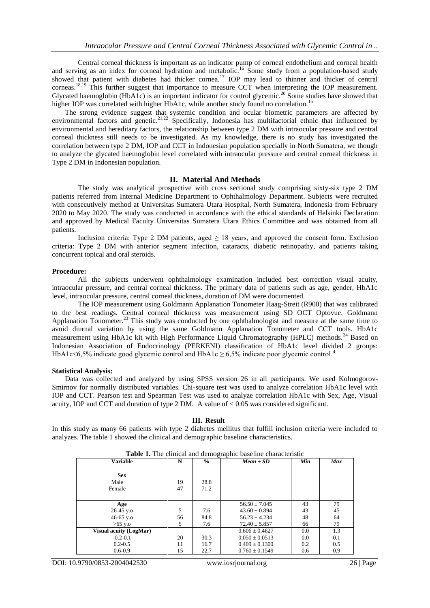Central corneal thickness is important as an indicator pump of corneal endothelium and corneal health and serving as an index for corneal hydration and metabolic.<sup>16</sup> Some study from a population-based study showed that patient with diabetes had thicker cornea.<sup>17</sup> IOP may lead to thinner and thicker of central corneas.<sup>18,19</sup> This further suggest that importance to measure CCT when interpreting the IOP measurement. Glycated haemoglobin (HbA1c) is an important indicator for control glycemic.<sup>20</sup> Some studies have showed that higher IOP was correlated with higher HbA1c, while another study found no correlation.<sup>15</sup>

The strong evidence suggest that systemic condition and ocular biometric parameters are affected by environmental factors and genetic.<sup>21,22</sup> Specifically, Indonesia has multifactorial ethnic that influenced by environmental and hereditary factors, the relationship between type 2 DM with intraocular pressure and central corneal thickness still needs to be investigated. As my knowledge, there is no study has investigated the correlation between type 2 DM, IOP and CCT in Indonesian population specially in North Sumatera, we though to analyze the glycated haemoglobin level correlated with intraocular pressure and central corneal thickness in Type 2 DM in Indonesian population.

## **II. Material And Methods**

The study was analytical prospective with cross sectional study comprising sixty-six type 2 DM patients referred from Internal Medicine Department to Ophthalmology Department. Subjects were recruited with consecutively method at Universitas Sumatera Utara Hospital, North Sumatera, Indonesia from February 2020 to May 2020. The study was conducted in accordance with the ethical standards of Helsinki Declaration and approved by Medical Faculty Universitas Sumatera Utara Ethics Committee and was obtained from all patients.

Inclusion criteria: Type 2 DM patients, aged  $\geq$  18 years, and approved the consent form. Exclusion criteria: Type 2 DM with anterior segment infection, cataracts, diabetic retinopathy, and patients taking concurrent topical and oral steroids.

### **Procedure:**

All the subjects underwent ophthalmology examination included best correction visual acuity, intraocular pressure, and central corneal thickness. The primary data of patients such as age, gender, HbA1c level, intraocular pressure, central corneal thickness, duration of DM were documented.

The IOP measurement using Goldmann Applanation Tonometer Haag-Streit (R900) that was calibrated to the best readings. Central corneal thickness was measurement using SD OCT Optovue. Goldmann Applanation Tonometer.<sup>23</sup> This study was conducted by one ophthalmologist and measure at the same time to avoid diurnal variation by using the same Goldmann Applanation Tonometer and CCT tools. HbA1c measurement using HbA1c kit with High Performance Liquid Chromatography (HPLC) methods.<sup>24</sup> Based on Indonesian Association of Endocrinology (PERKENI) classification of HbA1c level divided 2 groups: HbA1c<6,5% indicate good glycemic control and HbA1c  $\geq$  6,5% indicate poor glycemic control.<sup>4</sup>

### **Statistical Analysis:**

Data was collected and analyzed by using SPSS version 26 in all participants. We used Kolmogorov-Smirnov for normally distributed variables. Chi-square test was used to analyze correlation HbA1c level with IOP and CCT. Pearson test and Spearman Test was used to analyze correlation HbA1c with Sex, Age, Visual acuity, IOP and CCT and duration of type 2 DM. A value of  $< 0.05$  was considered significant.

### **III. Result**

In this study as many 66 patients with type 2 diabetes mellitus that fulfill inclusion criteria were included to analyzes. The table 1 showed the clinical and demographic baseline characteristics.

| <b>Variable</b>               | N  | $\frac{0}{0}$ | $Mean \pm SD$      | Min | <b>Max</b> |
|-------------------------------|----|---------------|--------------------|-----|------------|
| <b>Sex</b>                    |    |               |                    |     |            |
| Male                          | 19 | 28.8          |                    |     |            |
| Female                        | 47 | 71.2          |                    |     |            |
|                               |    |               |                    |     |            |
| Age                           |    |               | $56.50 \pm 7.045$  | 43  | 79         |
| $26-45$ y.o                   | 5  | 7.6           | $43.60 \pm 0.894$  | 43  | 45         |
| 46-65 y.o                     | 56 | 84.8          | $56.23 \pm 4.234$  | 48  | 64         |
| $>65$ y.o                     | 5  | 7.6           | $72.40 \pm 5.857$  | 66  | 79         |
| <b>Visual acuity (LogMar)</b> |    |               | $0.606 \pm 0.4627$ | 0.0 | 1.3        |
| $-0.2 - 0.1$                  | 20 | 30.3          | $0.050 \pm 0.0513$ | 0.0 | 0.1        |
| $0.2 - 0.5$                   | 11 | 16.7          | $0.409 \pm 0.1300$ | 0.2 | 0.5        |
| $0.6 - 0.9$                   | 15 | 22.7          | $0.760 \pm 0.1549$ | 0.6 | 0.9        |

**Table 1.** The clinical and demographic baseline characteristic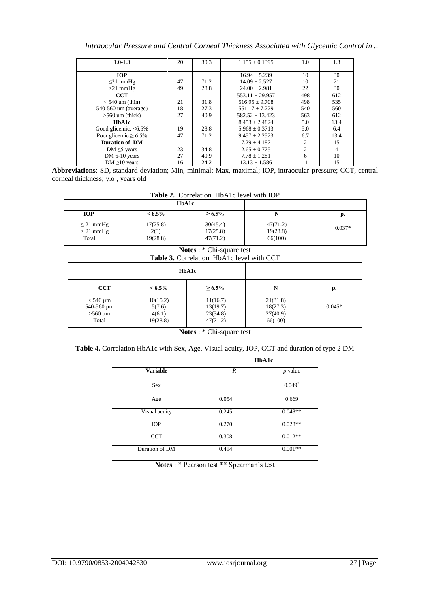| Intraocular Pressure and Central Corneal Thickness Associated with Glycemic Control in |  |
|----------------------------------------------------------------------------------------|--|
|----------------------------------------------------------------------------------------|--|

| $1.0 - 1.3$                 | 20 | 30.3 | $1.155 \pm 0.1395$  | 1.0            | 1.3  |
|-----------------------------|----|------|---------------------|----------------|------|
|                             |    |      |                     |                |      |
| <b>IOP</b>                  |    |      | $16.94 \pm 5.239$   | 10             | 30   |
| $\leq$ 21 mmHg              | 47 | 71.2 | $14.09 \pm 2.527$   | 10             | 21   |
| $>21$ mmHg                  | 49 | 28.8 | $24.00 \pm 2.981$   | 22             | 30   |
| <b>CCT</b>                  |    |      | $553.11 \pm 29.957$ | 498            | 612  |
| $<$ 540 um (thin)           | 21 | 31.8 | $516.95 \pm 9.708$  | 498            | 535  |
| 540-560 um (average)        | 18 | 27.3 | $551.17 \pm 7.229$  | 540            | 560  |
| $>560$ um (thick)           | 27 | 40.9 | $582.52 \pm 13.423$ | 563            | 612  |
| HbA1c                       |    |      | $8.453 + 2.4824$    | 5.0            | 13.4 |
| Good glicemic: $<6.5\%$     | 19 | 28.8 | $5.968 \pm 0.3713$  | 5.0            | 6.4  |
| Poor glicemic: $\geq 6.5\%$ | 47 | 71.2 | $9.457 \pm 2.2523$  | 6.7            | 13.4 |
| <b>Duration of DM</b>       |    |      | $7.29 + 4.187$      | $\overline{2}$ | 15   |
| DM $\leq$ 5 years           | 23 | 34.8 | $2.65 \pm 0.775$    | $\overline{c}$ | 4    |
| DM 6-10 years               | 27 | 40.9 | $7.78 \pm 1.281$    | 6              | 10   |
| DM $\geq$ 10 years          | 16 | 24.2 | $13.13 \pm 1.586$   | 11             | 15   |

**Abbreviations**: SD, standard deviation; Min, minimal; Max, maximal; IOP, intraocular pressure; CCT, central corneal thickness; y.o , years old

**Table 2.** Correlation HbA1c level with IOP

|                               | <b>HbA1c</b>     |                      |                      |          |
|-------------------------------|------------------|----------------------|----------------------|----------|
| <b>IOP</b>                    | $< 6.5\%$        | $\geq 6.5\%$         |                      | р.       |
| $\leq$ 21 mmHg<br>$> 21$ mmHg | 17(25.8)<br>2(3) | 30(45.4)<br>17(25.8) | 47(71.2)<br>19(28.8) | $0.037*$ |
| Total                         | 19(28.8)         | 47(71.2)             | 66(100)              |          |

**Notes** : \* Chi-square test

|  | <b>Table 3.</b> Correlation HbA1c level with CCT |  |
|--|--------------------------------------------------|--|

|              | HbA1c     |              |          |          |
|--------------|-----------|--------------|----------|----------|
| <b>CCT</b>   | $< 6.5\%$ | $\geq 6.5\%$ | N        | p.       |
| $<$ 540 µm   | 10(15.2)  | 11(16.7)     | 21(31.8) |          |
| 540-560 µm   | 5(7.6)    | 13(19.7)     | 18(27.3) | $0.045*$ |
| $>560 \mu m$ | 4(6.1)    | 23(34.8)     | 27(40.9) |          |
| Total        | 19(28.8)  | 47(71.2)     | 66(100)  |          |

**Notes** : \* Chi-square test

|                 | HbA1c |            |  |
|-----------------|-------|------------|--|
| <b>Variable</b> | R     | $p$ .value |  |
| Sex             |       | $0.049*$   |  |
| Age             | 0.054 | 0.669      |  |
| Visual acuity   | 0.245 | $0.048**$  |  |
| <b>IOP</b>      | 0.270 | $0.028**$  |  |
| <b>CCT</b>      | 0.308 | $0.012**$  |  |
| Duration of DM  | 0.414 | $0.001**$  |  |

**Notes** : \* Pearson test \*\* Spearman's test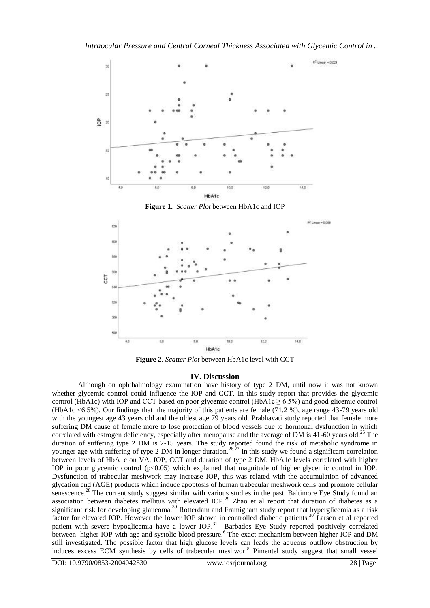

**Figure 1.** *Scatter Plot* between HbA1c and IOP



**Figure 2**. *Scatter Plot* between HbA1c level with CCT

## **IV. Discussion**

Although on ophthalmology examination have history of type 2 DM, until now it was not known whether glycemic control could influence the IOP and CCT. In this study report that provides the glycemic control (HbA1c) with IOP and CCT based on poor glycemic control (HbA1c  $\geq 6.5\%$ ) and good glicemic control (HbA1c <6.5%). Our findings that the majority of this patients are female (71,2 %), age range 43-79 years old with the youngest age 43 years old and the oldest age 79 years old. Prabhavati study reported that female more suffering DM cause of female more to lose protection of blood vessels due to hormonal dysfunction in which correlated with estrogen deficiency, especially after menopause and the average of DM is 41-60 years old.<sup>25</sup> The duration of suffering type 2 DM is 2-15 years. The study reported found the risk of metabolic syndrome in younger age with suffering of type 2 DM in longer duration.<sup>26,27</sup> In this study we found a significant correlation between levels of HbA1c on VA, IOP, CCT and duration of type 2 DM. HbA1c levels correlated with higher IOP in poor glycemic control (p<0.05) which explained that magnitude of higher glycemic control in IOP. Dysfunction of trabecular meshwork may increase IOP, this was related with the accumulation of advanced glycation end (AGE) products which induce apoptosis of human trabecular meshwork cells and promote cellular senescence.<sup>28</sup> The current study suggest similar with various studies in the past. Baltimore Eye Study found an association between diabetes mellitus with elevated IOP.<sup>29</sup> Zhao et al report that duration of diabetes as a significant risk for developing glaucoma.<sup>30</sup> Rotterdam and Framigham study report that hyperglicemia as a risk factor for elevated IOP. However the lower IOP shown in controlled diabetic patients.<sup>30</sup> Larsen et al reported patient with severe hypoglicemia have a lower IOP.<sup>31</sup> Barbados Eye Study reported positively correlated between higher IOP with age and systolic blood pressure.<sup>6</sup> The exact mechanism between higher IOP and DM still investigated. The possible factor that high glucose levels can leads the aqueous outflow obstruction by induces excess ECM synthesis by cells of trabecular meshwor.<sup>8</sup> Pimentel study suggest that small vessel

DOI: 10.9790/0853-2004042530 www.iosrjournal.org 28 | Page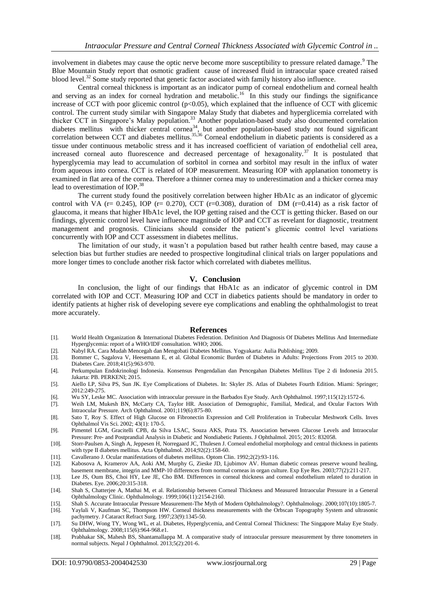involvement in diabetes may cause the optic nerve become more susceptibility to pressure related damage.<sup>9</sup> The Blue Mountain Study report that osmotic gradient cause of increased fluid in intraocular space created raised blood level.<sup>32</sup> Some study reported that genetic factor asociated with family history also influence.

Central corneal thickness is important as an indicator pump of corneal endothelium and corneal health and serving as an index for corneal hydration and metabolic.<sup>16</sup> In this study our findings the significance increase of CCT with poor glicemic control ( $p<0.05$ ), which explained that the influence of CCT with glicemic control. The current study similar with Singapore Malay Study that diabetes and hyperglicemia correlated with thicker CCT in Singapore's Malay population.<sup>33</sup> Another population-based study also documented correlation diabetes mellitus with thicker central cornea<sup>34</sup>, but another population-based study not found significant correlation between CCT and diabetes mellitus.<sup>35,36</sup> Corneal endothelium in diabetic patients is considered as a tissue under continuous metabolic stress and it has increased coefficient of variation of endothelial cell area, increased corneal auto fluorescence and decreased percentage of hexagonality.<sup>37</sup> It is postulated that hyperglycemia may lead to accumulation of sorbitol in cornea and sorbitol may result in the influx of water from aqueous into cornea. CCT is related of IOP measurement. Measuring IOP with applanation tonometry is examined in flat area of the cornea. Therefore a thinner cornea may to underestimation and a thicker cornea may lead to overestimation of IOP.<sup>38</sup>

The current study found the positively correlation between higher HbA1c as an indicator of glycemic control with VA (r= 0.245), IOP (r= 0.270), CCT (r=0.308), duration of DM (r=0.414) as a risk factor of glaucoma, it means that higher HbA1c level, the IOP getting raised and the CCT is getting thicker. Based on our findings, glycemic control level have influence magnitude of IOP and CCT as revelant for diagnostic, treatment management and prognosis. Clinicians should consider the patient's glicemic control level variations concurrently with IOP and CCT assessment in diabetes mellitus.

The limitation of our study, it wasn't a population based but rather health centre based, may cause a selection bias but further studies are needed to prospective longitudinal clinical trials on larger populations and more longer times to conclude another risk factor which correlated with diabetes mellitus.

## **V. Conclusion**

In conclusion, the light of our findings that HbA1c as an indicator of glycemic control in DM correlated with IOP and CCT. Measuring IOP and CCT in diabetics patients should be mandatory in order to identify patients at higher risk of developing severe eye complications and enabling the ophthalmologist to treat more accurately.

#### **References**

- [1]. World Health Organization & International Diabetes Federation. Definition And Diagnosis Of Diabetes Mellitus And Intermediate Hyperglycemia: report of a WHO/IDF consultation. WHO; 2006.
- [2]. Nabyl RA. Cara Mudah Mencegah dan Mengobati Diabetes Mellitus. Yogyakarta: Aulia Publishing; 2009.
- [3]. Bommer C, Sagalova V, Heesemann E, et al. Global Economic Burden of Diabetes in Adults: Projections From 2015 to 2030. Diabetes Care. 2018;41(5):963-970.
- [4]. Perkumpulan Endokrinologi Indonesia. Konsensus Pengendalian dan Pencegahan Diabetes Mellitus Tipe 2 di Indonesia 2015. Jakarta: PB. PERKENI; 2015.
- [5]. Aiello LP, Silva PS, Sun JK. Eye Complications of Diabetes. In: Skyler JS. Atlas of Diabetes Fourth Edition. Miami: Springer; 2012:249-275.
- [6]. Wu SY, Leske MC. Association with intraocular pressure in the Barbados Eye Study. Arch Ophthalmol. 1997;115(12):1572-6.
- [7]. Weih LM, Mukesh BN, McCarty CA, Taylor HR. Association of Demographic, Familial, Medical, and Ocular Factors With Intraocular Pressure. Arch Ophthalmol. 2001;119(6):875-80.
- [8]. Sato T, Roy S. Effect of High Glucose on Fibronectin Expression and Cell Proliferation in Trabecular Meshwork Cells. Inves Ophthalmol Vis Sci. 2002; 43(1): 170-5.
- [9]. Pimentel LGM, Gracitelli CPB, da Silva LSAC, Souza AKS, Prata TS. Association between Glucose Levels and Intraocular Pressure: Pre- and Postprandial Analysis in Diabetic and Nondiabetic Patients. J Ophthalmol. 2015; 2015: 832058.
- [10]. Storr-Paulsen A, Singh A, Jeppesen H, Norregaard JC, Thulesen J. Corneal endothelial morphology and central thickness in patients with type II diabetes mellitus. Acta Ophthalmol. 2014;92(2):158-60.
- 
- [11]. Cavallerano J. Ocular manifestations of diabetes mellitus. Optom Clin. 1992;2(2):93-116. Kabosova A, Kramerov AA, Aoki AM, Murphy G, Zieske JD, Ljubimov AV. Human diabetic corneas preserve wound healing, basement membrane, integrin and MMP-10 differences from normal corneas in organ culture. Exp Eye Res. 2003;77(2):211-217.
- [13]. Lee JS, Oum BS, Choi HY, Lee JE, Cho BM. Differences in corneal thickness and corneal endothelium related to duration in Diabetes. Eye. 2006;20:315-318.
- [14]. Shah S, Chatterjee A, Mathai M, et al. Relationship between Corneal Thickness and Measured Intraocular Pressure in a General Ophthalmology Clinic. Ophthalmology. 1999;106(11):2154-2160.
- [15]. Shah S. Accurate Intraocular Pressure Measurement-The Myth of Modern Ophthalmology?. Ophthalmology. 2000;107(10):1805-7.
- [16]. Yaylali V, Kaufman SC, Thompson HW. Corneal thickness measurements with the Orbscan Topography System and ultrasonic pachymetry. J Cataract Refract Surg. 1997;23(9):1345-50.
- [17]. Su DHW, Wong TY, Wong WL, et al. Diabetes, Hyperglycemia, and Central Corneal Thickness: The Singapore Malay Eye Study. Ophthalmology. 2008;115(6):964-968.e1.
- [18]. Prabhakar SK, Mahesh BS, Shantamallappa M. A comparative study of intraocular pressure measurement by three tonometers in normal subjects. Nepal J Ophthalmol. 2013;5(2):201-6.